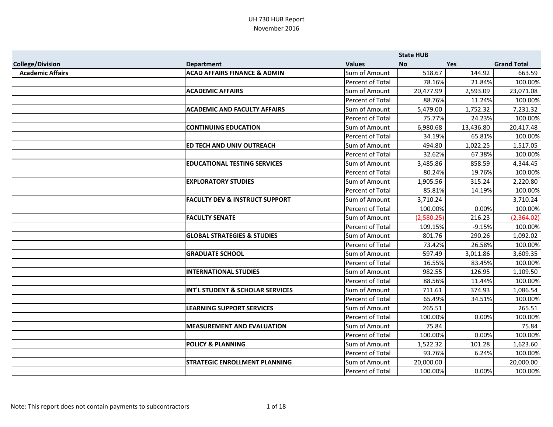|                         |                                           |                         | <b>State HUB</b> |            |                    |
|-------------------------|-------------------------------------------|-------------------------|------------------|------------|--------------------|
| <b>College/Division</b> | <b>Department</b>                         | <b>Values</b>           | <b>No</b>        | <b>Yes</b> | <b>Grand Total</b> |
| <b>Academic Affairs</b> | <b>ACAD AFFAIRS FINANCE &amp; ADMIN</b>   | Sum of Amount           | 518.67           | 144.92     | 663.59             |
|                         |                                           | Percent of Total        | 78.16%           | 21.84%     | 100.00%            |
|                         | <b>ACADEMIC AFFAIRS</b>                   | Sum of Amount           | 20,477.99        | 2,593.09   | 23,071.08          |
|                         |                                           | Percent of Total        | 88.76%           | 11.24%     | 100.00%            |
|                         | <b>ACADEMIC AND FACULTY AFFAIRS</b>       | Sum of Amount           | 5,479.00         | 1,752.32   | 7,231.32           |
|                         |                                           | <b>Percent of Total</b> | 75.77%           | 24.23%     | 100.00%            |
|                         | <b>CONTINUING EDUCATION</b>               | Sum of Amount           | 6,980.68         | 13,436.80  | 20,417.48          |
|                         |                                           | Percent of Total        | 34.19%           | 65.81%     | 100.00%            |
|                         | ED TECH AND UNIV OUTREACH                 | Sum of Amount           | 494.80           | 1,022.25   | 1,517.05           |
|                         |                                           | Percent of Total        | 32.62%           | 67.38%     | 100.00%            |
|                         | <b>EDUCATIONAL TESTING SERVICES</b>       | Sum of Amount           | 3,485.86         | 858.59     | 4,344.45           |
|                         |                                           | Percent of Total        | 80.24%           | 19.76%     | 100.00%            |
|                         | <b>EXPLORATORY STUDIES</b>                | Sum of Amount           | 1,905.56         | 315.24     | 2,220.80           |
|                         |                                           | Percent of Total        | 85.81%           | 14.19%     | 100.00%            |
|                         | <b>FACULTY DEV &amp; INSTRUCT SUPPORT</b> | Sum of Amount           | 3,710.24         |            | 3,710.24           |
|                         |                                           | Percent of Total        | 100.00%          | 0.00%      | 100.00%            |
|                         | <b>FACULTY SENATE</b>                     | Sum of Amount           | (2,580.25)       | 216.23     | (2,364.02)         |
|                         |                                           | Percent of Total        | 109.15%          | $-9.15%$   | 100.00%            |
|                         | <b>GLOBAL STRATEGIES &amp; STUDIES</b>    | Sum of Amount           | 801.76           | 290.26     | 1,092.02           |
|                         |                                           | Percent of Total        | 73.42%           | 26.58%     | 100.00%            |
|                         | <b>GRADUATE SCHOOL</b>                    | Sum of Amount           | 597.49           | 3,011.86   | 3,609.35           |
|                         |                                           | Percent of Total        | 16.55%           | 83.45%     | 100.00%            |
|                         | <b>INTERNATIONAL STUDIES</b>              | Sum of Amount           | 982.55           | 126.95     | 1,109.50           |
|                         |                                           | Percent of Total        | 88.56%           | 11.44%     | 100.00%            |
|                         | INT'L STUDENT & SCHOLAR SERVICES          | Sum of Amount           | 711.61           | 374.93     | 1,086.54           |
|                         |                                           | Percent of Total        | 65.49%           | 34.51%     | 100.00%            |
|                         | <b>LEARNING SUPPORT SERVICES</b>          | Sum of Amount           | 265.51           |            | 265.51             |
|                         |                                           | <b>Percent of Total</b> | 100.00%          | 0.00%      | 100.00%            |
|                         | <b>MEASUREMENT AND EVALUATION</b>         | Sum of Amount           | 75.84            |            | 75.84              |
|                         |                                           | Percent of Total        | 100.00%          | 0.00%      | 100.00%            |
|                         | <b>POLICY &amp; PLANNING</b>              | Sum of Amount           | 1,522.32         | 101.28     | 1,623.60           |
|                         |                                           | Percent of Total        | 93.76%           | 6.24%      | 100.00%            |
|                         | <b>STRATEGIC ENROLLMENT PLANNING</b>      | Sum of Amount           | 20,000.00        |            | 20,000.00          |
|                         |                                           | Percent of Total        | 100.00%          | 0.00%      | 100.00%            |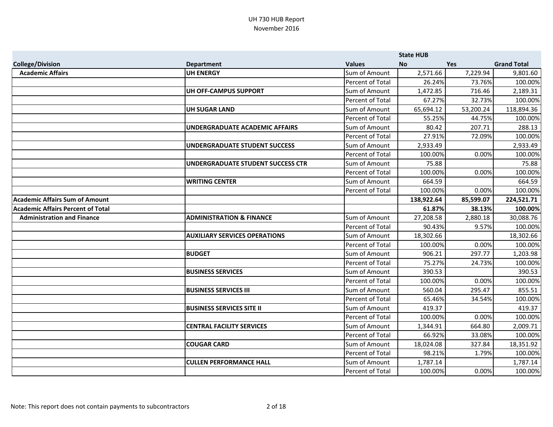|                                          |                                          |                  | <b>State HUB</b> |            |                    |
|------------------------------------------|------------------------------------------|------------------|------------------|------------|--------------------|
| <b>College/Division</b>                  | <b>Department</b>                        | <b>Values</b>    | <b>No</b>        | <b>Yes</b> | <b>Grand Total</b> |
| <b>Academic Affairs</b>                  | <b>UH ENERGY</b>                         | Sum of Amount    | 2,571.66         | 7,229.94   | 9,801.60           |
|                                          |                                          | Percent of Total | 26.24%           | 73.76%     | 100.00%            |
|                                          | <b>UH OFF-CAMPUS SUPPORT</b>             | Sum of Amount    | 1,472.85         | 716.46     | 2,189.31           |
|                                          |                                          | Percent of Total | 67.27%           | 32.73%     | 100.00%            |
|                                          | <b>UH SUGAR LAND</b>                     | Sum of Amount    | 65,694.12        | 53,200.24  | 118,894.36         |
|                                          |                                          | Percent of Total | 55.25%           | 44.75%     | 100.00%            |
|                                          | <b>UNDERGRADUATE ACADEMIC AFFAIRS</b>    | Sum of Amount    | 80.42            | 207.71     | 288.13             |
|                                          |                                          | Percent of Total | 27.91%           | 72.09%     | 100.00%            |
|                                          | <b>UNDERGRADUATE STUDENT SUCCESS</b>     | Sum of Amount    | 2,933.49         |            | 2,933.49           |
|                                          |                                          | Percent of Total | 100.00%          | 0.00%      | 100.00%            |
|                                          | <b>UNDERGRADUATE STUDENT SUCCESS CTR</b> | Sum of Amount    | 75.88            |            | 75.88              |
|                                          |                                          | Percent of Total | 100.00%          | 0.00%      | 100.00%            |
|                                          | <b>WRITING CENTER</b>                    | Sum of Amount    | 664.59           |            | 664.59             |
|                                          |                                          | Percent of Total | 100.00%          | 0.00%      | 100.00%            |
| <b>Academic Affairs Sum of Amount</b>    |                                          |                  | 138,922.64       | 85,599.07  | 224,521.71         |
| <b>Academic Affairs Percent of Total</b> |                                          |                  | 61.87%           | 38.13%     | 100.00%            |
| <b>Administration and Finance</b>        | <b>ADMINISTRATION &amp; FINANCE</b>      | Sum of Amount    | 27,208.58        | 2,880.18   | 30,088.76          |
|                                          |                                          | Percent of Total | 90.43%           | 9.57%      | 100.00%            |
|                                          | <b>AUXILIARY SERVICES OPERATIONS</b>     | Sum of Amount    | 18,302.66        |            | 18,302.66          |
|                                          |                                          | Percent of Total | 100.00%          | 0.00%      | 100.00%            |
|                                          | <b>BUDGET</b>                            | Sum of Amount    | 906.21           | 297.77     | 1,203.98           |
|                                          |                                          | Percent of Total | 75.27%           | 24.73%     | 100.00%            |
|                                          | <b>BUSINESS SERVICES</b>                 | Sum of Amount    | 390.53           |            | 390.53             |
|                                          |                                          | Percent of Total | 100.00%          | 0.00%      | 100.00%            |
|                                          | <b>BUSINESS SERVICES III</b>             | Sum of Amount    | 560.04           | 295.47     | 855.51             |
|                                          |                                          | Percent of Total | 65.46%           | 34.54%     | 100.00%            |
|                                          | <b>BUSINESS SERVICES SITE II</b>         | Sum of Amount    | 419.37           |            | 419.37             |
|                                          |                                          | Percent of Total | 100.00%          | 0.00%      | 100.00%            |
|                                          | <b>CENTRAL FACILITY SERVICES</b>         | Sum of Amount    | 1,344.91         | 664.80     | 2,009.71           |
|                                          |                                          | Percent of Total | 66.92%           | 33.08%     | 100.00%            |
|                                          | <b>COUGAR CARD</b>                       | Sum of Amount    | 18,024.08        | 327.84     | 18,351.92          |
|                                          |                                          | Percent of Total | 98.21%           | 1.79%      | 100.00%            |
|                                          | <b>CULLEN PERFORMANCE HALL</b>           | Sum of Amount    | 1,787.14         |            | 1,787.14           |
|                                          |                                          | Percent of Total | 100.00%          | 0.00%      | 100.00%            |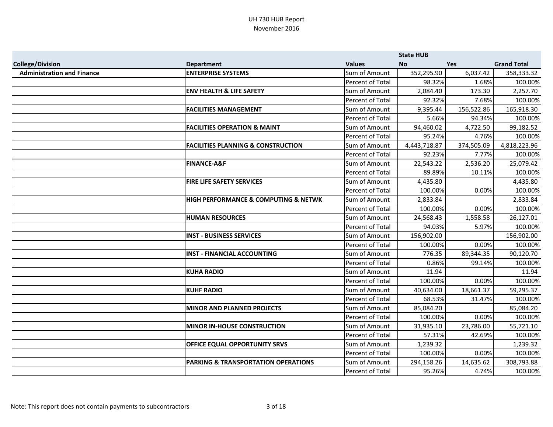|                                   |                                               |                  | <b>State HUB</b> |            |                    |
|-----------------------------------|-----------------------------------------------|------------------|------------------|------------|--------------------|
| <b>College/Division</b>           | <b>Department</b>                             | <b>Values</b>    | <b>No</b>        | <b>Yes</b> | <b>Grand Total</b> |
| <b>Administration and Finance</b> | <b>ENTERPRISE SYSTEMS</b>                     | Sum of Amount    | 352,295.90       | 6,037.42   | 358,333.32         |
|                                   |                                               | Percent of Total | 98.32%           | 1.68%      | 100.00%            |
|                                   | <b>ENV HEALTH &amp; LIFE SAFETY</b>           | Sum of Amount    | 2,084.40         | 173.30     | 2,257.70           |
|                                   |                                               | Percent of Total | 92.32%           | 7.68%      | 100.00%            |
|                                   | <b>FACILITIES MANAGEMENT</b>                  | Sum of Amount    | 9,395.44         | 156,522.86 | 165,918.30         |
|                                   |                                               | Percent of Total | 5.66%            | 94.34%     | 100.00%            |
|                                   | <b>FACILITIES OPERATION &amp; MAINT</b>       | Sum of Amount    | 94,460.02        | 4,722.50   | 99,182.52          |
|                                   |                                               | Percent of Total | 95.24%           | 4.76%      | 100.00%            |
|                                   | <b>FACILITIES PLANNING &amp; CONSTRUCTION</b> | Sum of Amount    | 4,443,718.87     | 374,505.09 | 4,818,223.96       |
|                                   |                                               | Percent of Total | 92.23%           | 7.77%      | 100.00%            |
|                                   | <b>FINANCE-A&amp;F</b>                        | Sum of Amount    | 22,543.22        | 2,536.20   | 25,079.42          |
|                                   |                                               | Percent of Total | 89.89%           | 10.11%     | 100.00%            |
|                                   | <b>FIRE LIFE SAFETY SERVICES</b>              | Sum of Amount    | 4,435.80         |            | 4,435.80           |
|                                   |                                               | Percent of Total | 100.00%          | 0.00%      | 100.00%            |
|                                   | HIGH PERFORMANCE & COMPUTING & NETWK          | Sum of Amount    | 2,833.84         |            | 2,833.84           |
|                                   |                                               | Percent of Total | 100.00%          | 0.00%      | 100.00%            |
|                                   | <b>HUMAN RESOURCES</b>                        | Sum of Amount    | 24,568.43        | 1,558.58   | 26,127.01          |
|                                   |                                               | Percent of Total | 94.03%           | 5.97%      | 100.00%            |
|                                   | <b>INST - BUSINESS SERVICES</b>               | Sum of Amount    | 156,902.00       |            | 156,902.00         |
|                                   |                                               | Percent of Total | 100.00%          | 0.00%      | 100.00%            |
|                                   | <b>INST - FINANCIAL ACCOUNTING</b>            | Sum of Amount    | 776.35           | 89,344.35  | 90,120.70          |
|                                   |                                               | Percent of Total | 0.86%            | 99.14%     | 100.00%            |
|                                   | <b>KUHA RADIO</b>                             | Sum of Amount    | 11.94            |            | 11.94              |
|                                   |                                               | Percent of Total | 100.00%          | 0.00%      | 100.00%            |
|                                   | <b>KUHF RADIO</b>                             | Sum of Amount    | 40,634.00        | 18,661.37  | 59,295.37          |
|                                   |                                               | Percent of Total | 68.53%           | 31.47%     | 100.00%            |
|                                   | <b>MINOR AND PLANNED PROJECTS</b>             | Sum of Amount    | 85,084.20        |            | 85,084.20          |
|                                   |                                               | Percent of Total | 100.00%          | 0.00%      | 100.00%            |
|                                   | <b>MINOR IN-HOUSE CONSTRUCTION</b>            | Sum of Amount    | 31,935.10        | 23,786.00  | 55,721.10          |
|                                   |                                               | Percent of Total | 57.31%           | 42.69%     | 100.00%            |
|                                   | OFFICE EQUAL OPPORTUNITY SRVS                 | Sum of Amount    | 1,239.32         |            | 1,239.32           |
|                                   |                                               | Percent of Total | 100.00%          | 0.00%      | 100.00%            |
|                                   | PARKING & TRANSPORTATION OPERATIONS           | Sum of Amount    | 294,158.26       | 14,635.62  | 308,793.88         |
|                                   |                                               | Percent of Total | 95.26%           | 4.74%      | 100.00%            |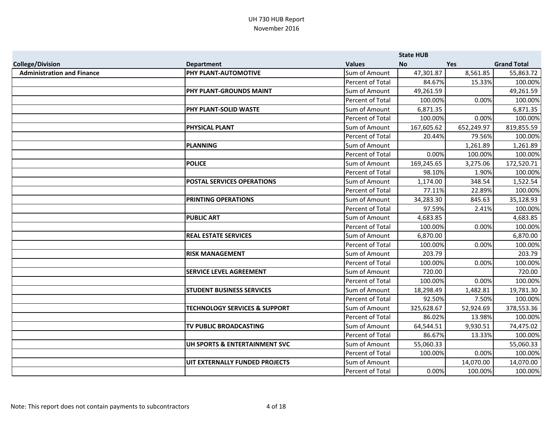|                                   |                                          |                         | <b>State HUB</b> |            |                    |
|-----------------------------------|------------------------------------------|-------------------------|------------------|------------|--------------------|
| <b>College/Division</b>           | <b>Department</b>                        | <b>Values</b>           | No               | <b>Yes</b> | <b>Grand Total</b> |
| <b>Administration and Finance</b> | PHY PLANT-AUTOMOTIVE                     | Sum of Amount           | 47,301.87        | 8,561.85   | 55,863.72          |
|                                   |                                          | Percent of Total        | 84.67%           | 15.33%     | 100.00%            |
|                                   | PHY PLANT-GROUNDS MAINT                  | Sum of Amount           | 49,261.59        |            | 49,261.59          |
|                                   |                                          | Percent of Total        | 100.00%          | 0.00%      | 100.00%            |
|                                   | PHY PLANT-SOLID WASTE                    | Sum of Amount           | 6,871.35         |            | 6,871.35           |
|                                   |                                          | Percent of Total        | 100.00%          | 0.00%      | 100.00%            |
|                                   | <b>PHYSICAL PLANT</b>                    | Sum of Amount           | 167,605.62       | 652,249.97 | 819,855.59         |
|                                   |                                          | Percent of Total        | 20.44%           | 79.56%     | 100.00%            |
|                                   | <b>PLANNING</b>                          | Sum of Amount           |                  | 1,261.89   | 1,261.89           |
|                                   |                                          | Percent of Total        | 0.00%            | 100.00%    | 100.00%            |
|                                   | <b>POLICE</b>                            | Sum of Amount           | 169,245.65       | 3,275.06   | 172,520.71         |
|                                   |                                          | Percent of Total        | 98.10%           | 1.90%      | 100.00%            |
|                                   | <b>POSTAL SERVICES OPERATIONS</b>        | Sum of Amount           | 1,174.00         | 348.54     | 1,522.54           |
|                                   |                                          | Percent of Total        | 77.11%           | 22.89%     | 100.00%            |
|                                   | PRINTING OPERATIONS                      | Sum of Amount           | 34,283.30        | 845.63     | 35,128.93          |
|                                   |                                          | Percent of Total        | 97.59%           | 2.41%      | 100.00%            |
|                                   | <b>PUBLIC ART</b>                        | Sum of Amount           | 4,683.85         |            | 4,683.85           |
|                                   |                                          | Percent of Total        | 100.00%          | 0.00%      | 100.00%            |
|                                   | <b>REAL ESTATE SERVICES</b>              | Sum of Amount           | 6,870.00         |            | 6,870.00           |
|                                   |                                          | <b>Percent of Total</b> | 100.00%          | 0.00%      | 100.00%            |
|                                   | <b>RISK MANAGEMENT</b>                   | Sum of Amount           | 203.79           |            | 203.79             |
|                                   |                                          | <b>Percent of Total</b> | 100.00%          | 0.00%      | 100.00%            |
|                                   | <b>SERVICE LEVEL AGREEMENT</b>           | Sum of Amount           | 720.00           |            | 720.00             |
|                                   |                                          | Percent of Total        | 100.00%          | 0.00%      | 100.00%            |
|                                   | <b>STUDENT BUSINESS SERVICES</b>         | Sum of Amount           | 18,298.49        | 1,482.81   | 19,781.30          |
|                                   |                                          | Percent of Total        | 92.50%           | 7.50%      | 100.00%            |
|                                   | <b>TECHNOLOGY SERVICES &amp; SUPPORT</b> | Sum of Amount           | 325,628.67       | 52,924.69  | 378,553.36         |
|                                   |                                          | Percent of Total        | 86.02%           | 13.98%     | 100.00%            |
|                                   | TV PUBLIC BROADCASTING                   | Sum of Amount           | 64,544.51        | 9,930.51   | 74,475.02          |
|                                   |                                          | Percent of Total        | 86.67%           | 13.33%     | 100.00%            |
|                                   | UH SPORTS & ENTERTAINMENT SVC            | Sum of Amount           | 55,060.33        |            | 55,060.33          |
|                                   |                                          | Percent of Total        | 100.00%          | 0.00%      | 100.00%            |
|                                   | UIT EXTERNALLY FUNDED PROJECTS           | Sum of Amount           |                  | 14,070.00  | 14,070.00          |
|                                   |                                          | Percent of Total        | 0.00%            | 100.00%    | 100.00%            |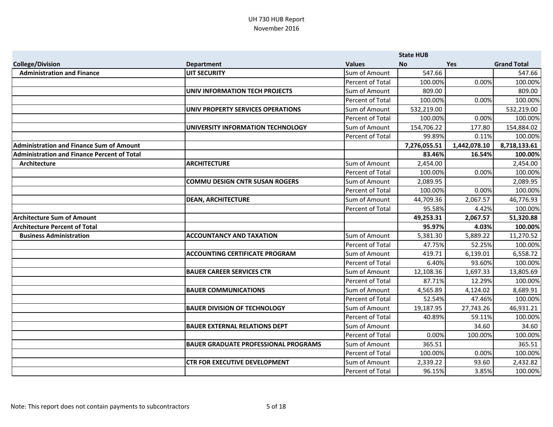|                                                    |                                             |                  | <b>State HUB</b> |              |                    |
|----------------------------------------------------|---------------------------------------------|------------------|------------------|--------------|--------------------|
| <b>College/Division</b>                            | <b>Department</b>                           | <b>Values</b>    | <b>No</b>        | Yes          | <b>Grand Total</b> |
| <b>Administration and Finance</b>                  | <b>UIT SECURITY</b>                         | Sum of Amount    | 547.66           |              | 547.66             |
|                                                    |                                             | Percent of Total | 100.00%          | 0.00%        | 100.00%            |
|                                                    | <b>UNIV INFORMATION TECH PROJECTS</b>       | Sum of Amount    | 809.00           |              | 809.00             |
|                                                    |                                             | Percent of Total | 100.00%          | 0.00%        | 100.00%            |
|                                                    | UNIV PROPERTY SERVICES OPERATIONS           | Sum of Amount    | 532,219.00       |              | 532,219.00         |
|                                                    |                                             | Percent of Total | 100.00%          | 0.00%        | 100.00%            |
|                                                    | UNIVERSITY INFORMATION TECHNOLOGY           | Sum of Amount    | 154,706.22       | 177.80       | 154,884.02         |
|                                                    |                                             | Percent of Total | 99.89%           | 0.11%        | 100.00%            |
| <b>Administration and Finance Sum of Amount</b>    |                                             |                  | 7,276,055.51     | 1,442,078.10 | 8,718,133.61       |
| <b>Administration and Finance Percent of Total</b> |                                             |                  | 83.46%           | 16.54%       | 100.00%            |
| Architecture                                       | <b>ARCHITECTURE</b>                         | Sum of Amount    | 2,454.00         |              | 2,454.00           |
|                                                    |                                             | Percent of Total | 100.00%          | 0.00%        | 100.00%            |
|                                                    | <b>COMMU DESIGN CNTR SUSAN ROGERS</b>       | Sum of Amount    | 2,089.95         |              | 2,089.95           |
|                                                    |                                             | Percent of Total | 100.00%          | 0.00%        | 100.00%            |
|                                                    | <b>DEAN, ARCHITECTURE</b>                   | Sum of Amount    | 44,709.36        | 2,067.57     | 46,776.93          |
|                                                    |                                             | Percent of Total | 95.58%           | 4.42%        | 100.00%            |
| <b>Architecture Sum of Amount</b>                  |                                             |                  | 49,253.31        | 2,067.57     | 51,320.88          |
| <b>Architecture Percent of Total</b>               |                                             |                  | 95.97%           | 4.03%        | 100.00%            |
| <b>Business Administration</b>                     | <b>ACCOUNTANCY AND TAXATION</b>             | Sum of Amount    | 5,381.30         | 5,889.22     | 11,270.52          |
|                                                    |                                             | Percent of Total | 47.75%           | 52.25%       | 100.00%            |
|                                                    | <b>ACCOUNTING CERTIFICATE PROGRAM</b>       | Sum of Amount    | 419.71           | 6,139.01     | 6,558.72           |
|                                                    |                                             | Percent of Total | 6.40%            | 93.60%       | 100.00%            |
|                                                    | <b>BAUER CAREER SERVICES CTR</b>            | Sum of Amount    | 12,108.36        | 1,697.33     | 13,805.69          |
|                                                    |                                             | Percent of Total | 87.71%           | 12.29%       | 100.00%            |
|                                                    | <b>BAUER COMMUNICATIONS</b>                 | Sum of Amount    | 4,565.89         | 4,124.02     | 8,689.91           |
|                                                    |                                             | Percent of Total | 52.54%           | 47.46%       | 100.00%            |
|                                                    | <b>BAUER DIVISION OF TECHNOLOGY</b>         | Sum of Amount    | 19,187.95        | 27,743.26    | 46,931.21          |
|                                                    |                                             | Percent of Total | 40.89%           | 59.11%       | 100.00%            |
|                                                    | <b>BAUER EXTERNAL RELATIONS DEPT</b>        | Sum of Amount    |                  | 34.60        | 34.60              |
|                                                    |                                             | Percent of Total | 0.00%            | 100.00%      | 100.00%            |
|                                                    | <b>BAUER GRADUATE PROFESSIONAL PROGRAMS</b> | Sum of Amount    | 365.51           |              | 365.51             |
|                                                    |                                             | Percent of Total | 100.00%          | 0.00%        | 100.00%            |
|                                                    | <b>CTR FOR EXECUTIVE DEVELOPMENT</b>        | Sum of Amount    | 2,339.22         | 93.60        | 2,432.82           |
|                                                    |                                             | Percent of Total | 96.15%           | 3.85%        | 100.00%            |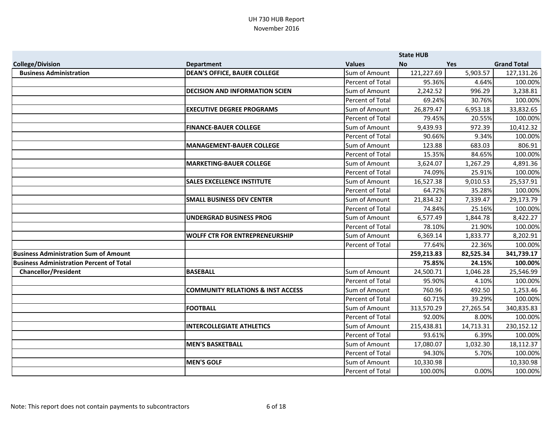|                                                 |                                              |                  | <b>State HUB</b> |            |                    |
|-------------------------------------------------|----------------------------------------------|------------------|------------------|------------|--------------------|
| <b>College/Division</b>                         | <b>Department</b>                            | <b>Values</b>    | <b>No</b>        | <b>Yes</b> | <b>Grand Total</b> |
| <b>Business Administration</b>                  | <b>DEAN'S OFFICE, BAUER COLLEGE</b>          | Sum of Amount    | 121,227.69       | 5,903.57   | 127,131.26         |
|                                                 |                                              | Percent of Total | 95.36%           | 4.64%      | 100.00%            |
|                                                 | <b>DECISION AND INFORMATION SCIEN</b>        | Sum of Amount    | 2,242.52         | 996.29     | 3,238.81           |
|                                                 |                                              | Percent of Total | 69.24%           | 30.76%     | 100.00%            |
|                                                 | <b>EXECUTIVE DEGREE PROGRAMS</b>             | Sum of Amount    | 26,879.47        | 6,953.18   | 33,832.65          |
|                                                 |                                              | Percent of Total | 79.45%           | 20.55%     | 100.00%            |
|                                                 | <b>FINANCE-BAUER COLLEGE</b>                 | Sum of Amount    | 9,439.93         | 972.39     | 10,412.32          |
|                                                 |                                              | Percent of Total | 90.66%           | 9.34%      | 100.00%            |
|                                                 | <b>MANAGEMENT-BAUER COLLEGE</b>              | Sum of Amount    | 123.88           | 683.03     | 806.91             |
|                                                 |                                              | Percent of Total | 15.35%           | 84.65%     | 100.00%            |
|                                                 | <b>MARKETING-BAUER COLLEGE</b>               | Sum of Amount    | 3,624.07         | 1,267.29   | 4,891.36           |
|                                                 |                                              | Percent of Total | 74.09%           | 25.91%     | 100.00%            |
|                                                 | <b>SALES EXCELLENCE INSTITUTE</b>            | Sum of Amount    | 16,527.38        | 9,010.53   | 25,537.91          |
|                                                 |                                              | Percent of Total | 64.72%           | 35.28%     | 100.00%            |
|                                                 | <b>SMALL BUSINESS DEV CENTER</b>             | Sum of Amount    | 21,834.32        | 7,339.47   | 29,173.79          |
|                                                 |                                              | Percent of Total | 74.84%           | 25.16%     | 100.00%            |
|                                                 | <b>UNDERGRAD BUSINESS PROG</b>               | Sum of Amount    | 6,577.49         | 1,844.78   | 8,422.27           |
|                                                 |                                              | Percent of Total | 78.10%           | 21.90%     | 100.00%            |
|                                                 | <b>WOLFF CTR FOR ENTREPRENEURSHIP</b>        | Sum of Amount    | 6,369.14         | 1,833.77   | 8,202.91           |
|                                                 |                                              | Percent of Total | 77.64%           | 22.36%     | 100.00%            |
| <b>Business Administration Sum of Amount</b>    |                                              |                  | 259,213.83       | 82,525.34  | 341,739.17         |
| <b>Business Administration Percent of Total</b> |                                              |                  | 75.85%           | 24.15%     | 100.00%            |
| <b>Chancellor/President</b>                     | <b>BASEBALL</b>                              | Sum of Amount    | 24,500.71        | 1,046.28   | 25,546.99          |
|                                                 |                                              | Percent of Total | 95.90%           | 4.10%      | 100.00%            |
|                                                 | <b>COMMUNITY RELATIONS &amp; INST ACCESS</b> | Sum of Amount    | 760.96           | 492.50     | 1,253.46           |
|                                                 |                                              | Percent of Total | 60.71%           | 39.29%     | 100.00%            |
|                                                 | <b>FOOTBALL</b>                              | Sum of Amount    | 313,570.29       | 27,265.54  | 340,835.83         |
|                                                 |                                              | Percent of Total | 92.00%           | 8.00%      | 100.00%            |
|                                                 | <b>INTERCOLLEGIATE ATHLETICS</b>             | Sum of Amount    | 215,438.81       | 14,713.31  | 230,152.12         |
|                                                 |                                              | Percent of Total | 93.61%           | 6.39%      | 100.00%            |
|                                                 | <b>MEN'S BASKETBALL</b>                      | Sum of Amount    | 17,080.07        | 1,032.30   | 18,112.37          |
|                                                 |                                              | Percent of Total | 94.30%           | 5.70%      | 100.00%            |
|                                                 | <b>MEN'S GOLF</b>                            | Sum of Amount    | 10,330.98        |            | 10,330.98          |
|                                                 |                                              | Percent of Total | 100.00%          | 0.00%      | 100.00%            |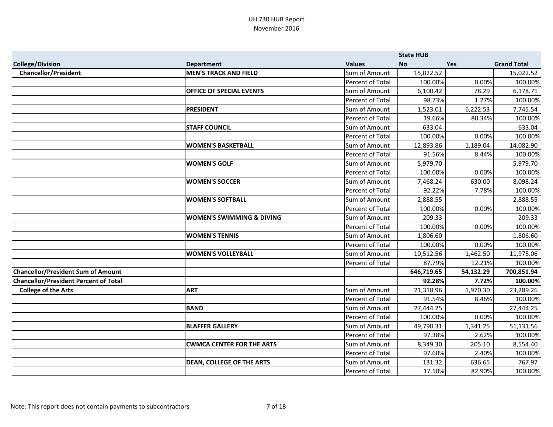|                                              |                                      |                         | <b>State HUB</b> |           |                    |
|----------------------------------------------|--------------------------------------|-------------------------|------------------|-----------|--------------------|
| <b>College/Division</b>                      | <b>Department</b>                    | <b>Values</b>           | <b>No</b>        | Yes       | <b>Grand Total</b> |
| <b>Chancellor/President</b>                  | <b>MEN'S TRACK AND FIELD</b>         | Sum of Amount           | 15,022.52        |           | 15,022.52          |
|                                              |                                      | Percent of Total        | 100.00%          | 0.00%     | 100.00%            |
|                                              | OFFICE OF SPECIAL EVENTS             | Sum of Amount           | 6,100.42         | 78.29     | 6,178.71           |
|                                              |                                      | Percent of Total        | 98.73%           | 1.27%     | 100.00%            |
|                                              | <b>PRESIDENT</b>                     | Sum of Amount           | 1,523.01         | 6,222.53  | 7,745.54           |
|                                              |                                      | Percent of Total        | 19.66%           | 80.34%    | 100.00%            |
|                                              | <b>STAFF COUNCIL</b>                 | Sum of Amount           | 633.04           |           | 633.04             |
|                                              |                                      | <b>Percent of Total</b> | 100.00%          | 0.00%     | 100.00%            |
|                                              | <b>WOMEN'S BASKETBALL</b>            | Sum of Amount           | 12,893.86        | 1,189.04  | 14,082.90          |
|                                              |                                      | Percent of Total        | 91.56%           | 8.44%     | 100.00%            |
|                                              | <b>WOMEN'S GOLF</b>                  | Sum of Amount           | 5,979.70         |           | 5,979.70           |
|                                              |                                      | <b>Percent of Total</b> | 100.00%          | 0.00%     | 100.00%            |
|                                              | <b>WOMEN'S SOCCER</b>                | Sum of Amount           | 7,468.24         | 630.00    | 8,098.24           |
|                                              |                                      | Percent of Total        | 92.22%           | 7.78%     | 100.00%            |
|                                              | <b>WOMEN'S SOFTBALL</b>              | Sum of Amount           | 2,888.55         |           | 2,888.55           |
|                                              |                                      | <b>Percent of Total</b> | 100.00%          | 0.00%     | 100.00%            |
|                                              | <b>WOMEN'S SWIMMING &amp; DIVING</b> | Sum of Amount           | 209.33           |           | 209.33             |
|                                              |                                      | Percent of Total        | 100.00%          | 0.00%     | 100.00%            |
|                                              | <b>WOMEN'S TENNIS</b>                | Sum of Amount           | 1,806.60         |           | 1,806.60           |
|                                              |                                      | Percent of Total        | 100.00%          | 0.00%     | 100.00%            |
|                                              | <b>WOMEN'S VOLLEYBALL</b>            | Sum of Amount           | 10,512.56        | 1,462.50  | 11,975.06          |
|                                              |                                      | Percent of Total        | 87.79%           | 12.21%    | 100.00%            |
| <b>Chancellor/President Sum of Amount</b>    |                                      |                         | 646,719.65       | 54,132.29 | 700,851.94         |
| <b>Chancellor/President Percent of Total</b> |                                      |                         | 92.28%           | 7.72%     | 100.00%            |
| <b>College of the Arts</b>                   | <b>ART</b>                           | Sum of Amount           | 21,318.96        | 1,970.30  | 23,289.26          |
|                                              |                                      | Percent of Total        | 91.54%           | 8.46%     | 100.00%            |
|                                              | BAND                                 | Sum of Amount           | 27,444.25        |           | 27,444.25          |
|                                              |                                      | Percent of Total        | 100.00%          | 0.00%     | 100.00%            |
|                                              | <b>BLAFFER GALLERY</b>               | Sum of Amount           | 49,790.31        | 1,341.25  | 51,131.56          |
|                                              |                                      | Percent of Total        | 97.38%           | 2.62%     | 100.00%            |
|                                              | <b>CWMCA CENTER FOR THE ARTS</b>     | Sum of Amount           | 8,349.30         | 205.10    | 8,554.40           |
|                                              |                                      | Percent of Total        | 97.60%           | 2.40%     | 100.00%            |
|                                              | <b>DEAN, COLLEGE OF THE ARTS</b>     | Sum of Amount           | 131.32           | 636.65    | 767.97             |
|                                              |                                      | <b>Percent of Total</b> | 17.10%           | 82.90%    | 100.00%            |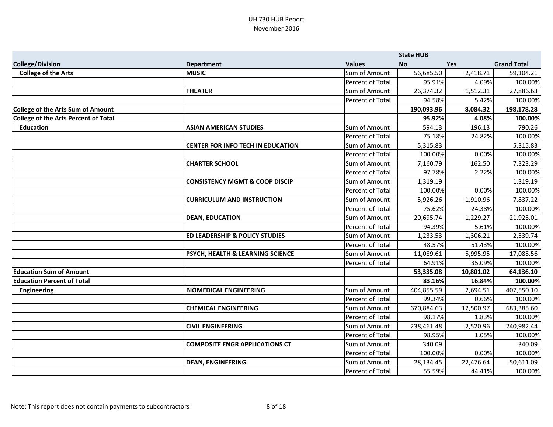|                                             |                                           |                         | <b>State HUB</b> |            |                    |
|---------------------------------------------|-------------------------------------------|-------------------------|------------------|------------|--------------------|
| <b>College/Division</b>                     | <b>Department</b>                         | <b>Values</b>           | <b>No</b>        | <b>Yes</b> | <b>Grand Total</b> |
| <b>College of the Arts</b>                  | <b>MUSIC</b>                              | Sum of Amount           | 56,685.50        | 2,418.71   | 59,104.21          |
|                                             |                                           | Percent of Total        | 95.91%           | 4.09%      | 100.00%            |
|                                             | <b>THEATER</b>                            | Sum of Amount           | 26,374.32        | 1,512.31   | 27,886.63          |
|                                             |                                           | Percent of Total        | 94.58%           | 5.42%      | 100.00%            |
| <b>College of the Arts Sum of Amount</b>    |                                           |                         | 190,093.96       | 8,084.32   | 198,178.28         |
| <b>College of the Arts Percent of Total</b> |                                           |                         | 95.92%           | 4.08%      | 100.00%            |
| <b>Education</b>                            | <b>ASIAN AMERICAN STUDIES</b>             | Sum of Amount           | 594.13           | 196.13     | 790.26             |
|                                             |                                           | Percent of Total        | 75.18%           | 24.82%     | 100.00%            |
|                                             | <b>CENTER FOR INFO TECH IN EDUCATION</b>  | Sum of Amount           | 5,315.83         |            | 5,315.83           |
|                                             |                                           | <b>Percent of Total</b> | 100.00%          | 0.00%      | 100.00%            |
|                                             | <b>CHARTER SCHOOL</b>                     | Sum of Amount           | 7,160.79         | 162.50     | 7,323.29           |
|                                             |                                           | Percent of Total        | 97.78%           | 2.22%      | 100.00%            |
|                                             | <b>CONSISTENCY MGMT &amp; COOP DISCIP</b> | Sum of Amount           | 1,319.19         |            | 1,319.19           |
|                                             |                                           | Percent of Total        | 100.00%          | 0.00%      | 100.00%            |
|                                             | <b>CURRICULUM AND INSTRUCTION</b>         | Sum of Amount           | 5,926.26         | 1,910.96   | 7,837.22           |
|                                             |                                           | Percent of Total        | 75.62%           | 24.38%     | 100.00%            |
|                                             | <b>DEAN, EDUCATION</b>                    | Sum of Amount           | 20,695.74        | 1,229.27   | 21,925.01          |
|                                             |                                           | Percent of Total        | 94.39%           | 5.61%      | 100.00%            |
|                                             | <b>ED LEADERSHIP &amp; POLICY STUDIES</b> | Sum of Amount           | 1,233.53         | 1,306.21   | 2,539.74           |
|                                             |                                           | Percent of Total        | 48.57%           | 51.43%     | 100.00%            |
|                                             | PSYCH, HEALTH & LEARNING SCIENCE          | Sum of Amount           | 11,089.61        | 5,995.95   | 17,085.56          |
|                                             |                                           | Percent of Total        | 64.91%           | 35.09%     | 100.00%            |
| <b>Education Sum of Amount</b>              |                                           |                         | 53,335.08        | 10,801.02  | 64,136.10          |
| <b>Education Percent of Total</b>           |                                           |                         | 83.16%           | 16.84%     | 100.00%            |
| <b>Engineering</b>                          | <b>BIOMEDICAL ENGINEERING</b>             | Sum of Amount           | 404,855.59       | 2,694.51   | 407,550.10         |
|                                             |                                           | Percent of Total        | 99.34%           | 0.66%      | 100.00%            |
|                                             | <b>CHEMICAL ENGINEERING</b>               | Sum of Amount           | 670,884.63       | 12,500.97  | 683,385.60         |
|                                             |                                           | Percent of Total        | 98.17%           | 1.83%      | 100.00%            |
|                                             | <b>CIVIL ENGINEERING</b>                  | Sum of Amount           | 238,461.48       | 2,520.96   | 240,982.44         |
|                                             |                                           | Percent of Total        | 98.95%           | 1.05%      | 100.00%            |
|                                             | <b>COMPOSITE ENGR APPLICATIONS CT</b>     | Sum of Amount           | 340.09           |            | 340.09             |
|                                             |                                           | Percent of Total        | 100.00%          | 0.00%      | 100.00%            |
|                                             | <b>DEAN, ENGINEERING</b>                  | Sum of Amount           | 28,134.45        | 22,476.64  | 50,611.09          |
|                                             |                                           | Percent of Total        | 55.59%           | 44.41%     | 100.00%            |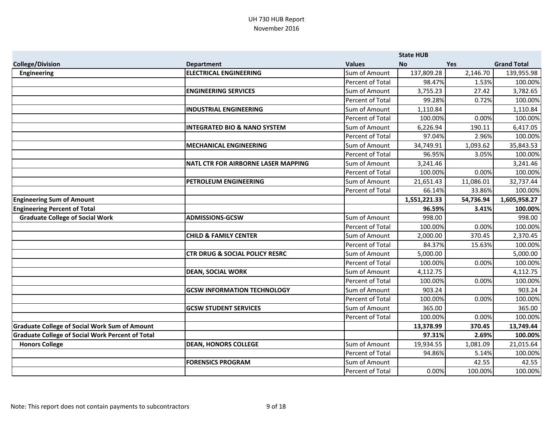|                                                         |                                           |                         | <b>State HUB</b> |            |                    |
|---------------------------------------------------------|-------------------------------------------|-------------------------|------------------|------------|--------------------|
| <b>College/Division</b>                                 | <b>Department</b>                         | <b>Values</b>           | <b>No</b>        | <b>Yes</b> | <b>Grand Total</b> |
| Engineering                                             | <b>ELECTRICAL ENGINEERING</b>             | Sum of Amount           | 137,809.28       | 2,146.70   | 139,955.98         |
|                                                         |                                           | Percent of Total        | 98.47%           | 1.53%      | 100.00%            |
|                                                         | <b>ENGINEERING SERVICES</b>               | Sum of Amount           | 3,755.23         | 27.42      | 3,782.65           |
|                                                         |                                           | <b>Percent of Total</b> | 99.28%           | 0.72%      | 100.00%            |
|                                                         | <b>INDUSTRIAL ENGINEERING</b>             | Sum of Amount           | 1,110.84         |            | 1,110.84           |
|                                                         |                                           | Percent of Total        | 100.00%          | 0.00%      | 100.00%            |
|                                                         | <b>INTEGRATED BIO &amp; NANO SYSTEM</b>   | Sum of Amount           | 6,226.94         | 190.11     | 6,417.05           |
|                                                         |                                           | Percent of Total        | 97.04%           | 2.96%      | 100.00%            |
|                                                         | <b>MECHANICAL ENGINEERING</b>             | Sum of Amount           | 34,749.91        | 1,093.62   | 35,843.53          |
|                                                         |                                           | <b>Percent of Total</b> | 96.95%           | 3.05%      | 100.00%            |
|                                                         | NATL CTR FOR AIRBORNE LASER MAPPING       | Sum of Amount           | 3,241.46         |            | 3,241.46           |
|                                                         |                                           | Percent of Total        | 100.00%          | 0.00%      | 100.00%            |
|                                                         | <b>PETROLEUM ENGINEERING</b>              | Sum of Amount           | 21,651.43        | 11,086.01  | 32,737.44          |
|                                                         |                                           | Percent of Total        | 66.14%           | 33.86%     | 100.00%            |
| <b>Engineering Sum of Amount</b>                        |                                           |                         | 1,551,221.33     | 54,736.94  | 1,605,958.27       |
| <b>Engineering Percent of Total</b>                     |                                           |                         | 96.59%           | 3.41%      | 100.00%            |
| <b>Graduate College of Social Work</b>                  | <b>ADMISSIONS-GCSW</b>                    | Sum of Amount           | 998.00           |            | 998.00             |
|                                                         |                                           | Percent of Total        | 100.00%          | 0.00%      | 100.00%            |
|                                                         | <b>CHILD &amp; FAMILY CENTER</b>          | Sum of Amount           | 2,000.00         | 370.45     | 2,370.45           |
|                                                         |                                           | Percent of Total        | 84.37%           | 15.63%     | 100.00%            |
|                                                         | <b>CTR DRUG &amp; SOCIAL POLICY RESRC</b> | Sum of Amount           | 5,000.00         |            | 5,000.00           |
|                                                         |                                           | Percent of Total        | 100.00%          | 0.00%      | 100.00%            |
|                                                         | <b>DEAN, SOCIAL WORK</b>                  | Sum of Amount           | 4,112.75         |            | 4,112.75           |
|                                                         |                                           | Percent of Total        | 100.00%          | 0.00%      | 100.00%            |
|                                                         | <b>GCSW INFORMATION TECHNOLOGY</b>        | Sum of Amount           | 903.24           |            | 903.24             |
|                                                         |                                           | Percent of Total        | 100.00%          | 0.00%      | 100.00%            |
|                                                         | <b>GCSW STUDENT SERVICES</b>              | Sum of Amount           | 365.00           |            | 365.00             |
|                                                         |                                           | Percent of Total        | 100.00%          | 0.00%      | 100.00%            |
| <b>Graduate College of Social Work Sum of Amount</b>    |                                           |                         | 13,378.99        | 370.45     | 13,749.44          |
| <b>Graduate College of Social Work Percent of Total</b> |                                           |                         | 97.31%           | 2.69%      | 100.00%            |
| <b>Honors College</b>                                   | <b>DEAN, HONORS COLLEGE</b>               | Sum of Amount           | 19,934.55        | 1,081.09   | 21,015.64          |
|                                                         |                                           | Percent of Total        | 94.86%           | 5.14%      | 100.00%            |
|                                                         | <b>FORENSICS PROGRAM</b>                  | Sum of Amount           |                  | 42.55      | 42.55              |
|                                                         |                                           | Percent of Total        | 0.00%            | 100.00%    | 100.00%            |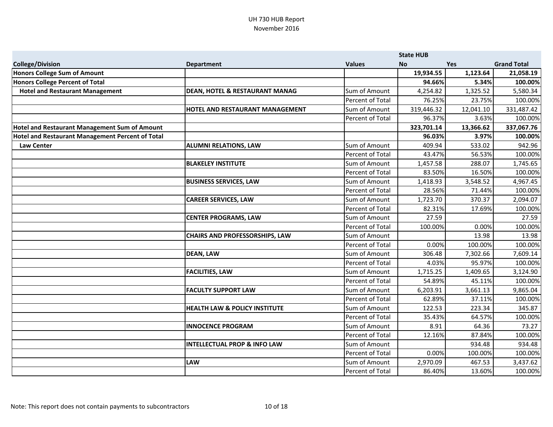|                                                  | <b>State HUB</b>                          |                  |            |            |                    |
|--------------------------------------------------|-------------------------------------------|------------------|------------|------------|--------------------|
| <b>College/Division</b>                          | <b>Department</b>                         | <b>Values</b>    | <b>No</b>  | <b>Yes</b> | <b>Grand Total</b> |
| Honors College Sum of Amount                     |                                           |                  | 19,934.55  | 1,123.64   | 21,058.19          |
| Honors College Percent of Total                  |                                           |                  | 94.66%     | 5.34%      | 100.00%            |
| <b>Hotel and Restaurant Management</b>           | <b>DEAN, HOTEL &amp; RESTAURANT MANAG</b> | Sum of Amount    | 4,254.82   | 1,325.52   | 5,580.34           |
|                                                  |                                           | Percent of Total | 76.25%     | 23.75%     | 100.00%            |
|                                                  | HOTEL AND RESTAURANT MANAGEMENT           | Sum of Amount    | 319,446.32 | 12,041.10  | 331,487.42         |
|                                                  |                                           | Percent of Total | 96.37%     | 3.63%      | 100.00%            |
| Hotel and Restaurant Management Sum of Amount    |                                           |                  | 323,701.14 | 13,366.62  | 337,067.76         |
| Hotel and Restaurant Management Percent of Total |                                           |                  | 96.03%     | 3.97%      | 100.00%            |
| <b>Law Center</b>                                | <b>ALUMNI RELATIONS, LAW</b>              | Sum of Amount    | 409.94     | 533.02     | 942.96             |
|                                                  |                                           | Percent of Total | 43.47%     | 56.53%     | 100.00%            |
|                                                  | <b>BLAKELEY INSTITUTE</b>                 | Sum of Amount    | 1,457.58   | 288.07     | 1,745.65           |
|                                                  |                                           | Percent of Total | 83.50%     | 16.50%     | 100.00%            |
|                                                  | <b>BUSINESS SERVICES, LAW</b>             | Sum of Amount    | 1,418.93   | 3,548.52   | 4,967.45           |
|                                                  |                                           | Percent of Total | 28.56%     | 71.44%     | 100.00%            |
|                                                  | <b>CAREER SERVICES, LAW</b>               | Sum of Amount    | 1,723.70   | 370.37     | 2,094.07           |
|                                                  |                                           | Percent of Total | 82.31%     | 17.69%     | 100.00%            |
|                                                  | <b>CENTER PROGRAMS, LAW</b>               | Sum of Amount    | 27.59      |            | 27.59              |
|                                                  |                                           | Percent of Total | 100.00%    | 0.00%      | 100.00%            |
|                                                  | <b>CHAIRS AND PROFESSORSHIPS, LAW</b>     | Sum of Amount    |            | 13.98      | 13.98              |
|                                                  |                                           | Percent of Total | 0.00%      | 100.00%    | 100.00%            |
|                                                  | <b>DEAN, LAW</b>                          | Sum of Amount    | 306.48     | 7,302.66   | 7,609.14           |
|                                                  |                                           | Percent of Total | 4.03%      | 95.97%     | 100.00%            |
|                                                  | <b>FACILITIES, LAW</b>                    | Sum of Amount    | 1,715.25   | 1,409.65   | 3,124.90           |
|                                                  |                                           | Percent of Total | 54.89%     | 45.11%     | 100.00%            |
|                                                  | <b>FACULTY SUPPORT LAW</b>                | Sum of Amount    | 6,203.91   | 3,661.13   | 9,865.04           |
|                                                  |                                           | Percent of Total | 62.89%     | 37.11%     | 100.00%            |
|                                                  | <b>HEALTH LAW &amp; POLICY INSTITUTE</b>  | Sum of Amount    | 122.53     | 223.34     | 345.87             |
|                                                  |                                           | Percent of Total | 35.43%     | 64.57%     | 100.00%            |
|                                                  | <b>INNOCENCE PROGRAM</b>                  | Sum of Amount    | 8.91       | 64.36      | 73.27              |
|                                                  |                                           | Percent of Total | 12.16%     | 87.84%     | 100.00%            |
|                                                  | <b>INTELLECTUAL PROP &amp; INFO LAW</b>   | Sum of Amount    |            | 934.48     | 934.48             |
|                                                  |                                           | Percent of Total | 0.00%      | 100.00%    | 100.00%            |
|                                                  | <b>LAW</b>                                | Sum of Amount    | 2,970.09   | 467.53     | 3,437.62           |
|                                                  |                                           | Percent of Total | 86.40%     | 13.60%     | 100.00%            |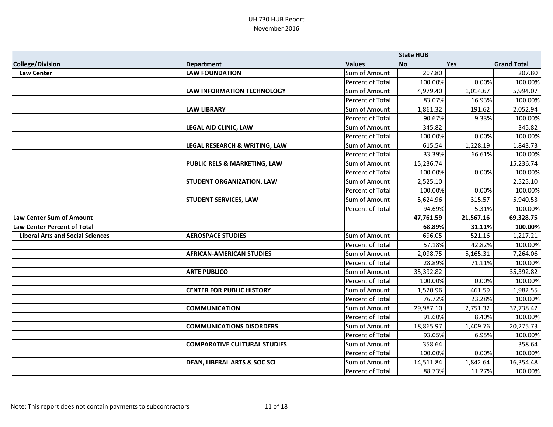|                                         |                                         |                         | <b>State HUB</b> |           |                    |
|-----------------------------------------|-----------------------------------------|-------------------------|------------------|-----------|--------------------|
| <b>College/Division</b>                 | <b>Department</b>                       | <b>Values</b>           | <b>No</b>        | Yes       | <b>Grand Total</b> |
| <b>Law Center</b>                       | <b>LAW FOUNDATION</b>                   | Sum of Amount           | 207.80           |           | 207.80             |
|                                         |                                         | Percent of Total        | 100.00%          | 0.00%     | 100.00%            |
|                                         | <b>LAW INFORMATION TECHNOLOGY</b>       | Sum of Amount           | 4,979.40         | 1,014.67  | 5,994.07           |
|                                         |                                         | Percent of Total        | 83.07%           | 16.93%    | 100.00%            |
|                                         | <b>LAW LIBRARY</b>                      | Sum of Amount           | 1,861.32         | 191.62    | 2,052.94           |
|                                         |                                         | Percent of Total        | 90.67%           | 9.33%     | 100.00%            |
|                                         | <b>LEGAL AID CLINIC, LAW</b>            | Sum of Amount           | 345.82           |           | 345.82             |
|                                         |                                         | Percent of Total        | 100.00%          | 0.00%     | 100.00%            |
|                                         | LEGAL RESEARCH & WRITING, LAW           | Sum of Amount           | 615.54           | 1,228.19  | 1,843.73           |
|                                         |                                         | Percent of Total        | 33.39%           | 66.61%    | 100.00%            |
|                                         | <b>PUBLIC RELS &amp; MARKETING, LAW</b> | Sum of Amount           | 15,236.74        |           | 15,236.74          |
|                                         |                                         | Percent of Total        | 100.00%          | 0.00%     | 100.00%            |
|                                         | <b>STUDENT ORGANIZATION, LAW</b>        | Sum of Amount           | 2,525.10         |           | 2,525.10           |
|                                         |                                         | Percent of Total        | 100.00%          | 0.00%     | 100.00%            |
|                                         | <b>STUDENT SERVICES, LAW</b>            | Sum of Amount           | 5,624.96         | 315.57    | 5,940.53           |
|                                         |                                         | Percent of Total        | 94.69%           | 5.31%     | 100.00%            |
| <b>Law Center Sum of Amount</b>         |                                         |                         | 47,761.59        | 21,567.16 | 69,328.75          |
| <b>Law Center Percent of Total</b>      |                                         |                         | 68.89%           | 31.11%    | 100.00%            |
| <b>Liberal Arts and Social Sciences</b> | <b>AEROSPACE STUDIES</b>                | Sum of Amount           | 696.05           | 521.16    | 1,217.21           |
|                                         |                                         | Percent of Total        | 57.18%           | 42.82%    | 100.00%            |
|                                         | <b>AFRICAN-AMERICAN STUDIES</b>         | Sum of Amount           | 2,098.75         | 5,165.31  | 7,264.06           |
|                                         |                                         | <b>Percent of Total</b> | 28.89%           | 71.11%    | 100.00%            |
|                                         | <b>ARTE PUBLICO</b>                     | Sum of Amount           | 35,392.82        |           | 35,392.82          |
|                                         |                                         | Percent of Total        | 100.00%          | 0.00%     | 100.00%            |
|                                         | <b>CENTER FOR PUBLIC HISTORY</b>        | Sum of Amount           | 1,520.96         | 461.59    | 1,982.55           |
|                                         |                                         | Percent of Total        | 76.72%           | 23.28%    | 100.00%            |
|                                         | <b>COMMUNICATION</b>                    | Sum of Amount           | 29,987.10        | 2,751.32  | 32,738.42          |
|                                         |                                         | <b>Percent of Total</b> | 91.60%           | 8.40%     | 100.00%            |
|                                         | <b>COMMUNICATIONS DISORDERS</b>         | Sum of Amount           | 18,865.97        | 1,409.76  | 20,275.73          |
|                                         |                                         | Percent of Total        | 93.05%           | 6.95%     | 100.00%            |
|                                         | <b>COMPARATIVE CULTURAL STUDIES</b>     | Sum of Amount           | 358.64           |           | 358.64             |
|                                         |                                         | Percent of Total        | 100.00%          | 0.00%     | 100.00%            |
|                                         | <b>DEAN, LIBERAL ARTS &amp; SOC SCI</b> | Sum of Amount           | 14,511.84        | 1,842.64  | 16,354.48          |
|                                         |                                         | <b>Percent of Total</b> | 88.73%           | 11.27%    | 100.00%            |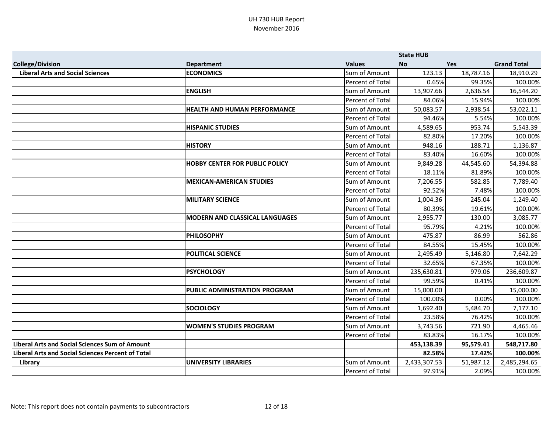|                                                          |                                       |                         | <b>State HUB</b> |            |                    |
|----------------------------------------------------------|---------------------------------------|-------------------------|------------------|------------|--------------------|
| <b>College/Division</b>                                  | <b>Department</b>                     | <b>Values</b>           | <b>No</b>        | <b>Yes</b> | <b>Grand Total</b> |
| <b>Liberal Arts and Social Sciences</b>                  | <b>ECONOMICS</b>                      | Sum of Amount           | 123.13           | 18,787.16  | 18,910.29          |
|                                                          |                                       | Percent of Total        | 0.65%            | 99.35%     | 100.00%            |
|                                                          | <b>ENGLISH</b>                        | Sum of Amount           | 13,907.66        | 2,636.54   | 16,544.20          |
|                                                          |                                       | Percent of Total        | 84.06%           | 15.94%     | 100.00%            |
|                                                          | <b>HEALTH AND HUMAN PERFORMANCE</b>   | Sum of Amount           | 50,083.57        | 2,938.54   | 53,022.11          |
|                                                          |                                       | Percent of Total        | 94.46%           | 5.54%      | 100.00%            |
|                                                          | <b>HISPANIC STUDIES</b>               | Sum of Amount           | 4,589.65         | 953.74     | 5,543.39           |
|                                                          |                                       | Percent of Total        | 82.80%           | 17.20%     | 100.00%            |
|                                                          | <b>HISTORY</b>                        | Sum of Amount           | 948.16           | 188.71     | 1,136.87           |
|                                                          |                                       | Percent of Total        | 83.40%           | 16.60%     | 100.00%            |
|                                                          | <b>HOBBY CENTER FOR PUBLIC POLICY</b> | Sum of Amount           | 9,849.28         | 44,545.60  | 54,394.88          |
|                                                          |                                       | Percent of Total        | 18.11%           | 81.89%     | 100.00%            |
|                                                          | <b>MEXICAN-AMERICAN STUDIES</b>       | Sum of Amount           | 7,206.55         | 582.85     | 7,789.40           |
|                                                          |                                       | <b>Percent of Total</b> | 92.52%           | 7.48%      | 100.00%            |
|                                                          | <b>MILITARY SCIENCE</b>               | Sum of Amount           | 1,004.36         | 245.04     | 1,249.40           |
|                                                          |                                       | Percent of Total        | 80.39%           | 19.61%     | 100.00%            |
|                                                          | <b>MODERN AND CLASSICAL LANGUAGES</b> | Sum of Amount           | 2,955.77         | 130.00     | 3,085.77           |
|                                                          |                                       | Percent of Total        | 95.79%           | 4.21%      | 100.00%            |
|                                                          | <b>PHILOSOPHY</b>                     | Sum of Amount           | 475.87           | 86.99      | 562.86             |
|                                                          |                                       | Percent of Total        | 84.55%           | 15.45%     | 100.00%            |
|                                                          | <b>POLITICAL SCIENCE</b>              | Sum of Amount           | 2,495.49         | 5,146.80   | 7,642.29           |
|                                                          |                                       | <b>Percent of Total</b> | 32.65%           | 67.35%     | 100.00%            |
|                                                          | <b>PSYCHOLOGY</b>                     | Sum of Amount           | 235,630.81       | 979.06     | 236,609.87         |
|                                                          |                                       | Percent of Total        | 99.59%           | 0.41%      | 100.00%            |
|                                                          | PUBLIC ADMINISTRATION PROGRAM         | Sum of Amount           | 15,000.00        |            | 15,000.00          |
|                                                          |                                       | Percent of Total        | 100.00%          | 0.00%      | 100.00%            |
|                                                          | <b>SOCIOLOGY</b>                      | Sum of Amount           | 1,692.40         | 5,484.70   | 7,177.10           |
|                                                          |                                       | Percent of Total        | 23.58%           | 76.42%     | 100.00%            |
|                                                          | <b>WOMEN'S STUDIES PROGRAM</b>        | Sum of Amount           | 3,743.56         | 721.90     | 4,465.46           |
|                                                          |                                       | Percent of Total        | 83.83%           | 16.17%     | 100.00%            |
| <b>Liberal Arts and Social Sciences Sum of Amount</b>    |                                       |                         | 453,138.39       | 95,579.41  | 548,717.80         |
| <b>Liberal Arts and Social Sciences Percent of Total</b> |                                       |                         | 82.58%           | 17.42%     | 100.00%            |
| Library                                                  | <b>UNIVERSITY LIBRARIES</b>           | Sum of Amount           | 2,433,307.53     | 51,987.12  | 2,485,294.65       |
|                                                          |                                       | Percent of Total        | 97.91%           | 2.09%      | 100.00%            |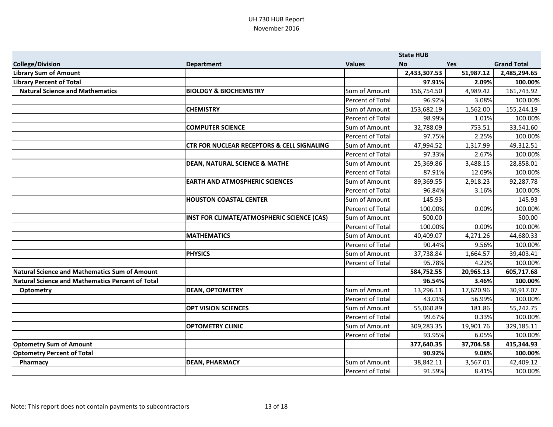|                                                  |                                                       |                  | <b>State HUB</b> |            |                    |
|--------------------------------------------------|-------------------------------------------------------|------------------|------------------|------------|--------------------|
| <b>College/Division</b>                          | <b>Department</b>                                     | <b>Values</b>    | <b>No</b>        | <b>Yes</b> | <b>Grand Total</b> |
| <b>Library Sum of Amount</b>                     |                                                       |                  | 2,433,307.53     | 51,987.12  | 2,485,294.65       |
| <b>Library Percent of Total</b>                  |                                                       |                  | 97.91%           | 2.09%      | 100.00%            |
| <b>Natural Science and Mathematics</b>           | <b>BIOLOGY &amp; BIOCHEMISTRY</b>                     | Sum of Amount    | 156,754.50       | 4,989.42   | 161,743.92         |
|                                                  |                                                       | Percent of Total | 96.92%           | 3.08%      | 100.00%            |
|                                                  | <b>CHEMISTRY</b>                                      | Sum of Amount    | 153,682.19       | 1,562.00   | 155,244.19         |
|                                                  |                                                       | Percent of Total | 98.99%           | 1.01%      | 100.00%            |
|                                                  | <b>COMPUTER SCIENCE</b>                               | Sum of Amount    | 32,788.09        | 753.51     | 33,541.60          |
|                                                  |                                                       | Percent of Total | 97.75%           | 2.25%      | 100.00%            |
|                                                  | <b>CTR FOR NUCLEAR RECEPTORS &amp; CELL SIGNALING</b> | Sum of Amount    | 47,994.52        | 1,317.99   | 49,312.51          |
|                                                  |                                                       | Percent of Total | 97.33%           | 2.67%      | 100.00%            |
|                                                  | <b>DEAN, NATURAL SCIENCE &amp; MATHE</b>              | Sum of Amount    | 25,369.86        | 3,488.15   | 28,858.01          |
|                                                  |                                                       | Percent of Total | 87.91%           | 12.09%     | 100.00%            |
|                                                  | <b>EARTH AND ATMOSPHERIC SCIENCES</b>                 | Sum of Amount    | 89,369.55        | 2,918.23   | 92,287.78          |
|                                                  |                                                       | Percent of Total | 96.84%           | 3.16%      | 100.00%            |
|                                                  | <b>HOUSTON COASTAL CENTER</b>                         | Sum of Amount    | 145.93           |            | 145.93             |
|                                                  |                                                       | Percent of Total | 100.00%          | 0.00%      | 100.00%            |
|                                                  | INST FOR CLIMATE/ATMOSPHERIC SCIENCE (CAS)            | Sum of Amount    | 500.00           |            | 500.00             |
|                                                  |                                                       | Percent of Total | 100.00%          | 0.00%      | 100.00%            |
|                                                  | <b>MATHEMATICS</b>                                    | Sum of Amount    | 40,409.07        | 4,271.26   | 44,680.33          |
|                                                  |                                                       | Percent of Total | 90.44%           | 9.56%      | 100.00%            |
|                                                  | <b>PHYSICS</b>                                        | Sum of Amount    | 37,738.84        | 1,664.57   | 39,403.41          |
|                                                  |                                                       | Percent of Total | 95.78%           | 4.22%      | 100.00%            |
| Natural Science and Mathematics Sum of Amount    |                                                       |                  | 584,752.55       | 20,965.13  | 605,717.68         |
| Natural Science and Mathematics Percent of Total |                                                       |                  | 96.54%           | 3.46%      | 100.00%            |
| <b>Optometry</b>                                 | <b>DEAN, OPTOMETRY</b>                                | Sum of Amount    | 13,296.11        | 17,620.96  | 30,917.07          |
|                                                  |                                                       | Percent of Total | 43.01%           | 56.99%     | 100.00%            |
|                                                  | <b>OPT VISION SCIENCES</b>                            | Sum of Amount    | 55,060.89        | 181.86     | 55,242.75          |
|                                                  |                                                       | Percent of Total | 99.67%           | 0.33%      | 100.00%            |
|                                                  | <b>OPTOMETRY CLINIC</b>                               | Sum of Amount    | 309,283.35       | 19,901.76  | 329,185.11         |
|                                                  |                                                       | Percent of Total | 93.95%           | 6.05%      | 100.00%            |
| <b>Optometry Sum of Amount</b>                   |                                                       |                  | 377,640.35       | 37,704.58  | 415,344.93         |
| <b>Optometry Percent of Total</b>                |                                                       |                  | 90.92%           | 9.08%      | 100.00%            |
| Pharmacy                                         | <b>DEAN, PHARMACY</b>                                 | Sum of Amount    | 38,842.11        | 3,567.01   | 42,409.12          |
|                                                  |                                                       | Percent of Total | 91.59%           | 8.41%      | 100.00%            |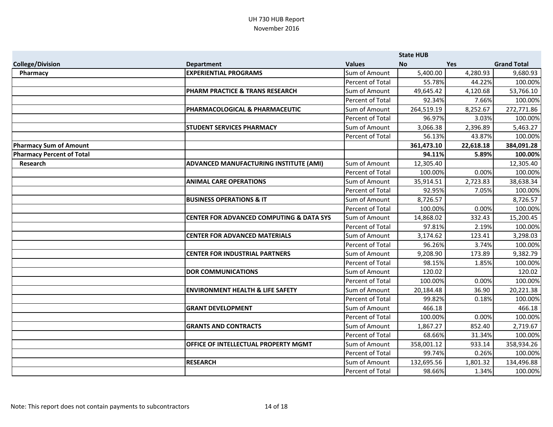|                                  |                                                     |                  | <b>State HUB</b> |            |                    |
|----------------------------------|-----------------------------------------------------|------------------|------------------|------------|--------------------|
| <b>College/Division</b>          | <b>Department</b>                                   | <b>Values</b>    | <b>No</b>        | <b>Yes</b> | <b>Grand Total</b> |
| Pharmacy                         | <b>EXPERIENTIAL PROGRAMS</b>                        | Sum of Amount    | 5,400.00         | 4,280.93   | 9,680.93           |
|                                  |                                                     | Percent of Total | 55.78%           | 44.22%     | 100.00%            |
|                                  | PHARM PRACTICE & TRANS RESEARCH                     | Sum of Amount    | 49,645.42        | 4,120.68   | 53,766.10          |
|                                  |                                                     | Percent of Total | 92.34%           | 7.66%      | 100.00%            |
|                                  | PHARMACOLOGICAL & PHARMACEUTIC                      | Sum of Amount    | 264,519.19       | 8,252.67   | 272,771.86         |
|                                  |                                                     | Percent of Total | 96.97%           | 3.03%      | 100.00%            |
|                                  | <b>STUDENT SERVICES PHARMACY</b>                    | Sum of Amount    | 3,066.38         | 2,396.89   | 5,463.27           |
|                                  |                                                     | Percent of Total | 56.13%           | 43.87%     | 100.00%            |
| <b>Pharmacy Sum of Amount</b>    |                                                     |                  | 361,473.10       | 22,618.18  | 384,091.28         |
| <b>Pharmacy Percent of Total</b> |                                                     |                  | 94.11%           | 5.89%      | 100.00%            |
| Research                         | ADVANCED MANUFACTURING INSTITUTE (AMI)              | Sum of Amount    | 12,305.40        |            | 12,305.40          |
|                                  |                                                     | Percent of Total | 100.00%          | 0.00%      | 100.00%            |
|                                  | <b>ANIMAL CARE OPERATIONS</b>                       | Sum of Amount    | 35,914.51        | 2,723.83   | 38,638.34          |
|                                  |                                                     | Percent of Total | 92.95%           | 7.05%      | 100.00%            |
|                                  | <b>BUSINESS OPERATIONS &amp; IT</b>                 | Sum of Amount    | 8,726.57         |            | 8,726.57           |
|                                  |                                                     | Percent of Total | 100.00%          | 0.00%      | 100.00%            |
|                                  | <b>CENTER FOR ADVANCED COMPUTING &amp; DATA SYS</b> | Sum of Amount    | 14,868.02        | 332.43     | 15,200.45          |
|                                  |                                                     | Percent of Total | 97.81%           | 2.19%      | 100.00%            |
|                                  | <b>CENTER FOR ADVANCED MATERIALS</b>                | Sum of Amount    | 3,174.62         | 123.41     | 3,298.03           |
|                                  |                                                     | Percent of Total | 96.26%           | 3.74%      | 100.00%            |
|                                  | <b>CENTER FOR INDUSTRIAL PARTNERS</b>               | Sum of Amount    | 9,208.90         | 173.89     | 9,382.79           |
|                                  |                                                     | Percent of Total | 98.15%           | 1.85%      | 100.00%            |
|                                  | <b>DOR COMMUNICATIONS</b>                           | Sum of Amount    | 120.02           |            | 120.02             |
|                                  |                                                     | Percent of Total | 100.00%          | 0.00%      | 100.00%            |
|                                  | <b>ENVIRONMENT HEALTH &amp; LIFE SAFETY</b>         | Sum of Amount    | 20,184.48        | 36.90      | 20,221.38          |
|                                  |                                                     | Percent of Total | 99.82%           | 0.18%      | 100.00%            |
|                                  | <b>GRANT DEVELOPMENT</b>                            | Sum of Amount    | 466.18           |            | 466.18             |
|                                  |                                                     | Percent of Total | 100.00%          | 0.00%      | 100.00%            |
|                                  | <b>GRANTS AND CONTRACTS</b>                         | Sum of Amount    | 1,867.27         | 852.40     | 2,719.67           |
|                                  |                                                     | Percent of Total | 68.66%           | 31.34%     | 100.00%            |
|                                  | OFFICE OF INTELLECTUAL PROPERTY MGMT                | Sum of Amount    | 358,001.12       | 933.14     | 358,934.26         |
|                                  |                                                     | Percent of Total | 99.74%           | 0.26%      | 100.00%            |
|                                  | <b>RESEARCH</b>                                     | Sum of Amount    | 132,695.56       | 1,801.32   | 134,496.88         |
|                                  |                                                     | Percent of Total | 98.66%           | 1.34%      | 100.00%            |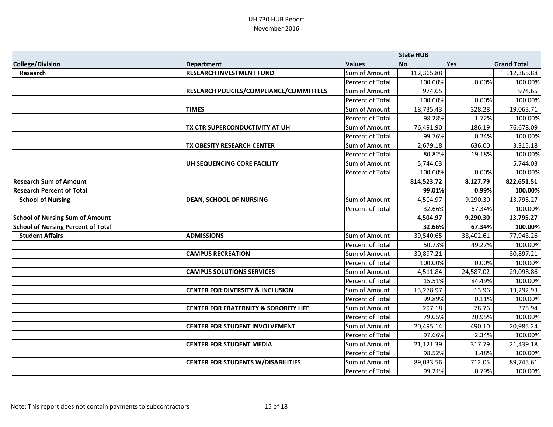|                                           |                                                  |                         | <b>State HUB</b> |            |                    |
|-------------------------------------------|--------------------------------------------------|-------------------------|------------------|------------|--------------------|
| <b>College/Division</b>                   | <b>Department</b>                                | <b>Values</b>           | <b>No</b>        | <b>Yes</b> | <b>Grand Total</b> |
| <b>Research</b>                           | <b>RESEARCH INVESTMENT FUND</b>                  | Sum of Amount           | 112,365.88       |            | 112,365.88         |
|                                           |                                                  | Percent of Total        | 100.00%          | 0.00%      | 100.00%            |
|                                           | RESEARCH POLICIES/COMPLIANCE/COMMITTEES          | Sum of Amount           | 974.65           |            | 974.65             |
|                                           |                                                  | Percent of Total        | 100.00%          | 0.00%      | 100.00%            |
|                                           | <b>TIMES</b>                                     | Sum of Amount           | 18,735.43        | 328.28     | 19,063.71          |
|                                           |                                                  | Percent of Total        | 98.28%           | 1.72%      | 100.00%            |
|                                           | TX CTR SUPERCONDUCTIVITY AT UH                   | Sum of Amount           | 76,491.90        | 186.19     | 76,678.09          |
|                                           |                                                  | Percent of Total        | 99.76%           | 0.24%      | 100.00%            |
|                                           | TX OBESITY RESEARCH CENTER                       | Sum of Amount           | 2,679.18         | 636.00     | 3,315.18           |
|                                           |                                                  | Percent of Total        | 80.82%           | 19.18%     | 100.00%            |
|                                           | UH SEQUENCING CORE FACILITY                      | Sum of Amount           | 5,744.03         |            | 5,744.03           |
|                                           |                                                  | Percent of Total        | 100.00%          | 0.00%      | 100.00%            |
| <b>Research Sum of Amount</b>             |                                                  |                         | 814,523.72       | 8,127.79   | 822,651.51         |
| <b>Research Percent of Total</b>          |                                                  |                         | 99.01%           | 0.99%      | 100.00%            |
| <b>School of Nursing</b>                  | <b>DEAN, SCHOOL OF NURSING</b>                   | Sum of Amount           | 4,504.97         | 9,290.30   | 13,795.27          |
|                                           |                                                  | Percent of Total        | 32.66%           | 67.34%     | 100.00%            |
| <b>School of Nursing Sum of Amount</b>    |                                                  |                         | 4,504.97         | 9,290.30   | 13,795.27          |
| <b>School of Nursing Percent of Total</b> |                                                  |                         | 32.66%           | 67.34%     | 100.00%            |
| <b>Student Affairs</b>                    | <b>ADMISSIONS</b>                                | Sum of Amount           | 39,540.65        | 38,402.61  | 77,943.26          |
|                                           |                                                  | <b>Percent of Total</b> | 50.73%           | 49.27%     | 100.00%            |
|                                           | <b>CAMPUS RECREATION</b>                         | Sum of Amount           | 30,897.21        |            | 30,897.21          |
|                                           |                                                  | <b>Percent of Total</b> | 100.00%          | 0.00%      | 100.00%            |
|                                           | <b>CAMPUS SOLUTIONS SERVICES</b>                 | Sum of Amount           | 4,511.84         | 24,587.02  | 29,098.86          |
|                                           |                                                  | Percent of Total        | 15.51%           | 84.49%     | 100.00%            |
|                                           | <b>CENTER FOR DIVERSITY &amp; INCLUSION</b>      | Sum of Amount           | 13,278.97        | 13.96      | 13,292.93          |
|                                           |                                                  | Percent of Total        | 99.89%           | 0.11%      | 100.00%            |
|                                           | <b>CENTER FOR FRATERNITY &amp; SORORITY LIFE</b> | Sum of Amount           | 297.18           | 78.76      | 375.94             |
|                                           |                                                  | <b>Percent of Total</b> | 79.05%           | 20.95%     | 100.00%            |
|                                           | <b>CENTER FOR STUDENT INVOLVEMENT</b>            | Sum of Amount           | 20,495.14        | 490.10     | 20,985.24          |
|                                           |                                                  | Percent of Total        | 97.66%           | 2.34%      | 100.00%            |
|                                           | <b>CENTER FOR STUDENT MEDIA</b>                  | Sum of Amount           | 21,121.39        | 317.79     | 21,439.18          |
|                                           |                                                  | <b>Percent of Total</b> | 98.52%           | 1.48%      | 100.00%            |
|                                           | <b>CENTER FOR STUDENTS W/DISABILITIES</b>        | Sum of Amount           | 89,033.56        | 712.05     | 89,745.61          |
|                                           |                                                  | <b>Percent of Total</b> | 99.21%           | 0.79%      | 100.00%            |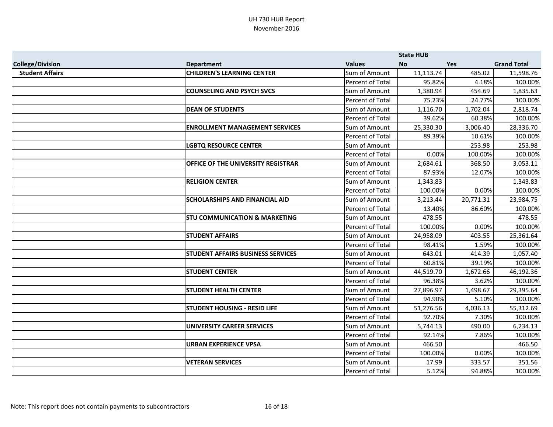|                         |                                          |                         | <b>State HUB</b> |            |                    |
|-------------------------|------------------------------------------|-------------------------|------------------|------------|--------------------|
| <b>College/Division</b> | <b>Department</b>                        | <b>Values</b>           | <b>No</b>        | <b>Yes</b> | <b>Grand Total</b> |
| <b>Student Affairs</b>  | <b>CHILDREN'S LEARNING CENTER</b>        | Sum of Amount           | 11,113.74        | 485.02     | 11,598.76          |
|                         |                                          | Percent of Total        | 95.82%           | 4.18%      | 100.00%            |
|                         | <b>COUNSELING AND PSYCH SVCS</b>         | Sum of Amount           | 1,380.94         | 454.69     | 1,835.63           |
|                         |                                          | Percent of Total        | 75.23%           | 24.77%     | 100.00%            |
|                         | <b>DEAN OF STUDENTS</b>                  | Sum of Amount           | 1,116.70         | 1,702.04   | 2,818.74           |
|                         |                                          | Percent of Total        | 39.62%           | 60.38%     | 100.00%            |
|                         | <b>ENROLLMENT MANAGEMENT SERVICES</b>    | Sum of Amount           | 25,330.30        | 3,006.40   | 28,336.70          |
|                         |                                          | Percent of Total        | 89.39%           | 10.61%     | 100.00%            |
|                         | <b>LGBTQ RESOURCE CENTER</b>             | Sum of Amount           |                  | 253.98     | 253.98             |
|                         |                                          | Percent of Total        | 0.00%            | 100.00%    | 100.00%            |
|                         | OFFICE OF THE UNIVERSITY REGISTRAR       | Sum of Amount           | 2,684.61         | 368.50     | 3,053.11           |
|                         |                                          | Percent of Total        | 87.93%           | 12.07%     | 100.00%            |
|                         | <b>RELIGION CENTER</b>                   | Sum of Amount           | 1,343.83         |            | 1,343.83           |
|                         |                                          | Percent of Total        | 100.00%          | 0.00%      | 100.00%            |
|                         | <b>SCHOLARSHIPS AND FINANCIAL AID</b>    | Sum of Amount           | 3,213.44         | 20,771.31  | 23,984.75          |
|                         |                                          | Percent of Total        | 13.40%           | 86.60%     | 100.00%            |
|                         | <b>STU COMMUNICATION &amp; MARKETING</b> | Sum of Amount           | 478.55           |            | 478.55             |
|                         |                                          | Percent of Total        | 100.00%          | 0.00%      | 100.00%            |
|                         | <b>STUDENT AFFAIRS</b>                   | Sum of Amount           | 24,958.09        | 403.55     | 25,361.64          |
|                         |                                          | Percent of Total        | 98.41%           | 1.59%      | 100.00%            |
|                         | <b>STUDENT AFFAIRS BUSINESS SERVICES</b> | Sum of Amount           | 643.01           | 414.39     | 1,057.40           |
|                         |                                          | Percent of Total        | 60.81%           | 39.19%     | 100.00%            |
|                         | <b>STUDENT CENTER</b>                    | Sum of Amount           | 44,519.70        | 1,672.66   | 46,192.36          |
|                         |                                          | Percent of Total        | 96.38%           | 3.62%      | 100.00%            |
|                         | <b>STUDENT HEALTH CENTER</b>             | Sum of Amount           | 27,896.97        | 1,498.67   | 29,395.64          |
|                         |                                          | Percent of Total        | 94.90%           | 5.10%      | 100.00%            |
|                         | <b>STUDENT HOUSING - RESID LIFE</b>      | Sum of Amount           | 51,276.56        | 4,036.13   | 55,312.69          |
|                         |                                          | Percent of Total        | 92.70%           | 7.30%      | 100.00%            |
|                         | <b>UNIVERSITY CAREER SERVICES</b>        | Sum of Amount           | 5,744.13         | 490.00     | 6,234.13           |
|                         |                                          | <b>Percent of Total</b> | 92.14%           | 7.86%      | 100.00%            |
|                         | <b>URBAN EXPERIENCE VPSA</b>             | Sum of Amount           | 466.50           |            | 466.50             |
|                         |                                          | Percent of Total        | 100.00%          | 0.00%      | 100.00%            |
|                         | <b>VETERAN SERVICES</b>                  | Sum of Amount           | 17.99            | 333.57     | 351.56             |
|                         |                                          | Percent of Total        | 5.12%            | 94.88%     | 100.00%            |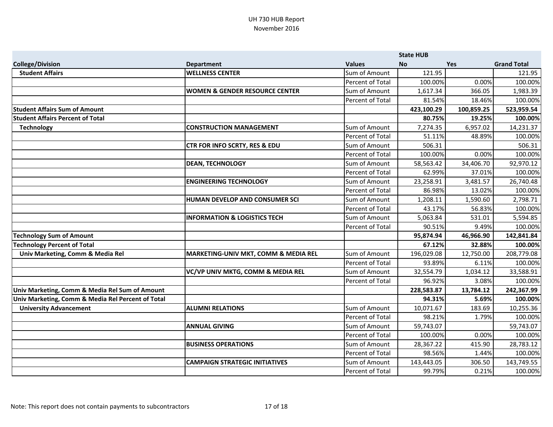|                                                   |                                           |                         | <b>State HUB</b> |            |                    |
|---------------------------------------------------|-------------------------------------------|-------------------------|------------------|------------|--------------------|
| <b>College/Division</b>                           | <b>Department</b>                         | <b>Values</b>           | <b>No</b>        | Yes        | <b>Grand Total</b> |
| <b>Student Affairs</b>                            | <b>WELLNESS CENTER</b>                    | Sum of Amount           | 121.95           |            | 121.95             |
|                                                   |                                           | Percent of Total        | 100.00%          | 0.00%      | 100.00%            |
|                                                   | <b>WOMEN &amp; GENDER RESOURCE CENTER</b> | Sum of Amount           | 1,617.34         | 366.05     | 1,983.39           |
|                                                   |                                           | Percent of Total        | 81.54%           | 18.46%     | 100.00%            |
| <b>Student Affairs Sum of Amount</b>              |                                           |                         | 423,100.29       | 100,859.25 | 523,959.54         |
| <b>Student Affairs Percent of Total</b>           |                                           |                         | 80.75%           | 19.25%     | 100.00%            |
| <b>Technology</b>                                 | <b>CONSTRUCTION MANAGEMENT</b>            | Sum of Amount           | 7,274.35         | 6,957.02   | 14,231.37          |
|                                                   |                                           | Percent of Total        | 51.11%           | 48.89%     | 100.00%            |
|                                                   | <b>CTR FOR INFO SCRTY, RES &amp; EDU</b>  | Sum of Amount           | 506.31           |            | 506.31             |
|                                                   |                                           | Percent of Total        | 100.00%          | 0.00%      | 100.00%            |
|                                                   | <b>DEAN, TECHNOLOGY</b>                   | Sum of Amount           | 58,563.42        | 34,406.70  | 92,970.12          |
|                                                   |                                           | Percent of Total        | 62.99%           | 37.01%     | 100.00%            |
|                                                   | <b>ENGINEERING TECHNOLOGY</b>             | Sum of Amount           | 23,258.91        | 3,481.57   | 26,740.48          |
|                                                   |                                           | Percent of Total        | 86.98%           | 13.02%     | 100.00%            |
|                                                   | HUMAN DEVELOP AND CONSUMER SCI            | Sum of Amount           | 1,208.11         | 1,590.60   | 2,798.71           |
|                                                   |                                           | <b>Percent of Total</b> | 43.17%           | 56.83%     | 100.00%            |
|                                                   | <b>INFORMATION &amp; LOGISTICS TECH</b>   | Sum of Amount           | 5,063.84         | 531.01     | 5,594.85           |
|                                                   |                                           | Percent of Total        | 90.51%           | 9.49%      | 100.00%            |
| <b>Technology Sum of Amount</b>                   |                                           |                         | 95,874.94        | 46,966.90  | 142,841.84         |
| <b>Technology Percent of Total</b>                |                                           |                         | 67.12%           | 32.88%     | 100.00%            |
| Univ Marketing, Comm & Media Rel                  | MARKETING-UNIV MKT, COMM & MEDIA REL      | Sum of Amount           | 196,029.08       | 12,750.00  | 208,779.08         |
|                                                   |                                           | Percent of Total        | 93.89%           | 6.11%      | 100.00%            |
|                                                   | VC/VP UNIV MKTG, COMM & MEDIA REL         | Sum of Amount           | 32,554.79        | 1,034.12   | 33,588.91          |
|                                                   |                                           | Percent of Total        | 96.92%           | 3.08%      | 100.00%            |
| Univ Marketing, Comm & Media Rel Sum of Amount    |                                           |                         | 228,583.87       | 13,784.12  | 242,367.99         |
| Univ Marketing, Comm & Media Rel Percent of Total |                                           |                         | 94.31%           | 5.69%      | 100.00%            |
| <b>University Advancement</b>                     | <b>ALUMNI RELATIONS</b>                   | Sum of Amount           | 10,071.67        | 183.69     | 10,255.36          |
|                                                   |                                           | Percent of Total        | 98.21%           | 1.79%      | 100.00%            |
|                                                   | <b>ANNUAL GIVING</b>                      | Sum of Amount           | 59,743.07        |            | 59,743.07          |
|                                                   |                                           | Percent of Total        | 100.00%          | 0.00%      | 100.00%            |
|                                                   | <b>BUSINESS OPERATIONS</b>                | Sum of Amount           | 28,367.22        | 415.90     | 28,783.12          |
|                                                   |                                           | Percent of Total        | 98.56%           | 1.44%      | 100.00%            |
|                                                   | <b>CAMPAIGN STRATEGIC INITIATIVES</b>     | Sum of Amount           | 143,443.05       | 306.50     | 143,749.55         |
|                                                   |                                           | Percent of Total        | 99.79%           | 0.21%      | 100.00%            |